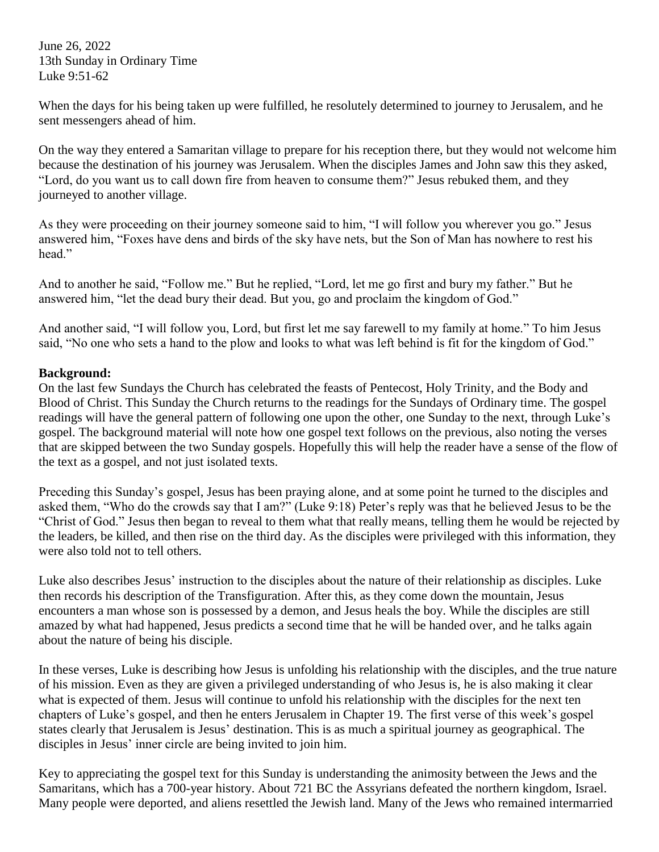June 26, 2022 13th Sunday in Ordinary Time Luke 9:51-62

When the days for his being taken up were fulfilled, he resolutely determined to journey to Jerusalem, and he sent messengers ahead of him.

On the way they entered a Samaritan village to prepare for his reception there, but they would not welcome him because the destination of his journey was Jerusalem. When the disciples James and John saw this they asked, "Lord, do you want us to call down fire from heaven to consume them?" Jesus rebuked them, and they journeyed to another village.

As they were proceeding on their journey someone said to him, "I will follow you wherever you go." Jesus answered him, "Foxes have dens and birds of the sky have nets, but the Son of Man has nowhere to rest his head."

And to another he said, "Follow me." But he replied, "Lord, let me go first and bury my father." But he answered him, "let the dead bury their dead. But you, go and proclaim the kingdom of God."

And another said, "I will follow you, Lord, but first let me say farewell to my family at home." To him Jesus said, "No one who sets a hand to the plow and looks to what was left behind is fit for the kingdom of God."

## **Background:**

On the last few Sundays the Church has celebrated the feasts of Pentecost, Holy Trinity, and the Body and Blood of Christ. This Sunday the Church returns to the readings for the Sundays of Ordinary time. The gospel readings will have the general pattern of following one upon the other, one Sunday to the next, through Luke's gospel. The background material will note how one gospel text follows on the previous, also noting the verses that are skipped between the two Sunday gospels. Hopefully this will help the reader have a sense of the flow of the text as a gospel, and not just isolated texts.

Preceding this Sunday's gospel, Jesus has been praying alone, and at some point he turned to the disciples and asked them, "Who do the crowds say that I am?" (Luke 9:18) Peter's reply was that he believed Jesus to be the "Christ of God." Jesus then began to reveal to them what that really means, telling them he would be rejected by the leaders, be killed, and then rise on the third day. As the disciples were privileged with this information, they were also told not to tell others.

Luke also describes Jesus' instruction to the disciples about the nature of their relationship as disciples. Luke then records his description of the Transfiguration. After this, as they come down the mountain, Jesus encounters a man whose son is possessed by a demon, and Jesus heals the boy. While the disciples are still amazed by what had happened, Jesus predicts a second time that he will be handed over, and he talks again about the nature of being his disciple.

In these verses, Luke is describing how Jesus is unfolding his relationship with the disciples, and the true nature of his mission. Even as they are given a privileged understanding of who Jesus is, he is also making it clear what is expected of them. Jesus will continue to unfold his relationship with the disciples for the next ten chapters of Luke's gospel, and then he enters Jerusalem in Chapter 19. The first verse of this week's gospel states clearly that Jerusalem is Jesus' destination. This is as much a spiritual journey as geographical. The disciples in Jesus' inner circle are being invited to join him.

Key to appreciating the gospel text for this Sunday is understanding the animosity between the Jews and the Samaritans, which has a 700-year history. About 721 BC the Assyrians defeated the northern kingdom, Israel. Many people were deported, and aliens resettled the Jewish land. Many of the Jews who remained intermarried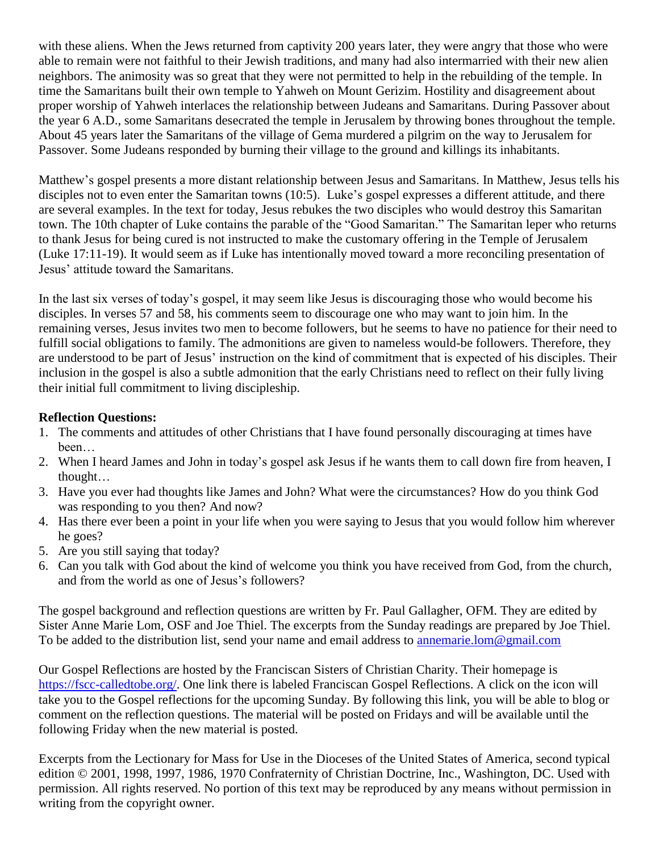with these aliens. When the Jews returned from captivity 200 years later, they were angry that those who were able to remain were not faithful to their Jewish traditions, and many had also intermarried with their new alien neighbors. The animosity was so great that they were not permitted to help in the rebuilding of the temple. In time the Samaritans built their own temple to Yahweh on Mount Gerizim. Hostility and disagreement about proper worship of Yahweh interlaces the relationship between Judeans and Samaritans. During Passover about the year 6 A.D., some Samaritans desecrated the temple in Jerusalem by throwing bones throughout the temple. About 45 years later the Samaritans of the village of Gema murdered a pilgrim on the way to Jerusalem for Passover. Some Judeans responded by burning their village to the ground and killings its inhabitants.

Matthew's gospel presents a more distant relationship between Jesus and Samaritans. In Matthew, Jesus tells his disciples not to even enter the Samaritan towns (10:5). Luke's gospel expresses a different attitude, and there are several examples. In the text for today, Jesus rebukes the two disciples who would destroy this Samaritan town. The 10th chapter of Luke contains the parable of the "Good Samaritan." The Samaritan leper who returns to thank Jesus for being cured is not instructed to make the customary offering in the Temple of Jerusalem (Luke 17:11-19). It would seem as if Luke has intentionally moved toward a more reconciling presentation of Jesus' attitude toward the Samaritans.

In the last six verses of today's gospel, it may seem like Jesus is discouraging those who would become his disciples. In verses 57 and 58, his comments seem to discourage one who may want to join him. In the remaining verses, Jesus invites two men to become followers, but he seems to have no patience for their need to fulfill social obligations to family. The admonitions are given to nameless would-be followers. Therefore, they are understood to be part of Jesus' instruction on the kind of commitment that is expected of his disciples. Their inclusion in the gospel is also a subtle admonition that the early Christians need to reflect on their fully living their initial full commitment to living discipleship.

## **Reflection Questions:**

- 1. The comments and attitudes of other Christians that I have found personally discouraging at times have been…
- 2. When I heard James and John in today's gospel ask Jesus if he wants them to call down fire from heaven, I thought…
- 3. Have you ever had thoughts like James and John? What were the circumstances? How do you think God was responding to you then? And now?
- 4. Has there ever been a point in your life when you were saying to Jesus that you would follow him wherever he goes?
- 5. Are you still saying that today?
- 6. Can you talk with God about the kind of welcome you think you have received from God, from the church, and from the world as one of Jesus's followers?

The gospel background and reflection questions are written by Fr. Paul Gallagher, OFM. They are edited by Sister Anne Marie Lom, OSF and Joe Thiel. The excerpts from the Sunday readings are prepared by Joe Thiel. To be added to the distribution list, send your name and email address to [annemarie.lom@gmail.com](mailto:annemarie.lom@gmail.com)

Our Gospel Reflections are hosted by the Franciscan Sisters of Christian Charity. Their homepage is [https://fscc-calledtobe.org/.](https://fscc-calledtobe.org/) One link there is labeled Franciscan Gospel Reflections. A click on the icon will take you to the Gospel reflections for the upcoming Sunday. By following this link, you will be able to blog or comment on the reflection questions. The material will be posted on Fridays and will be available until the following Friday when the new material is posted.

Excerpts from the Lectionary for Mass for Use in the Dioceses of the United States of America, second typical edition © 2001, 1998, 1997, 1986, 1970 Confraternity of Christian Doctrine, Inc., Washington, DC. Used with permission. All rights reserved. No portion of this text may be reproduced by any means without permission in writing from the copyright owner.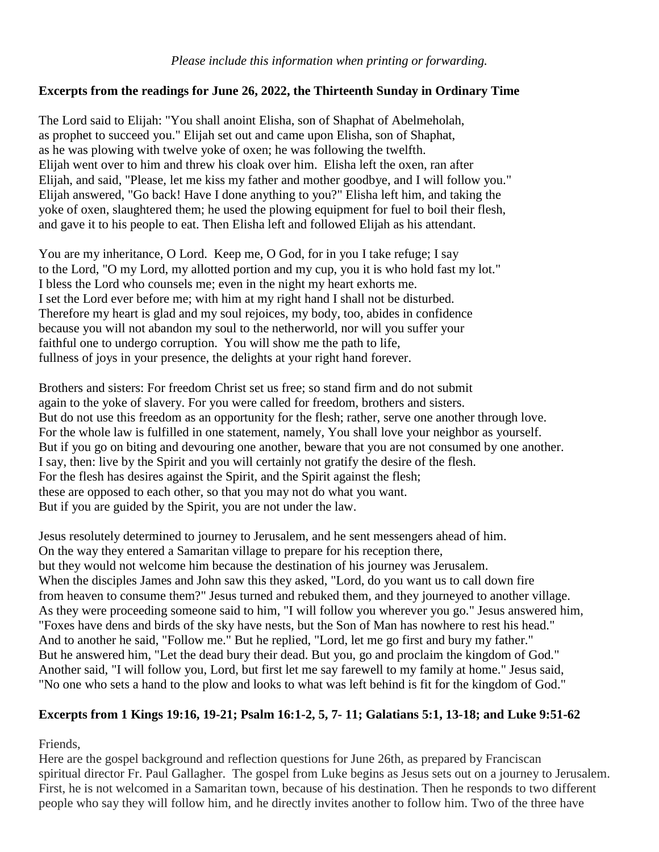## **Excerpts from the readings for June 26, 2022, the Thirteenth Sunday in Ordinary Time**

The Lord said to Elijah: "You shall anoint Elisha, son of Shaphat of Abelmeholah, as prophet to succeed you." Elijah set out and came upon Elisha, son of Shaphat, as he was plowing with twelve yoke of oxen; he was following the twelfth. Elijah went over to him and threw his cloak over him. Elisha left the oxen, ran after Elijah, and said, "Please, let me kiss my father and mother goodbye, and I will follow you." Elijah answered, "Go back! Have I done anything to you?" Elisha left him, and taking the yoke of oxen, slaughtered them; he used the plowing equipment for fuel to boil their flesh, and gave it to his people to eat. Then Elisha left and followed Elijah as his attendant.

You are my inheritance, O Lord. Keep me, O God, for in you I take refuge; I say to the Lord, "O my Lord, my allotted portion and my cup, you it is who hold fast my lot." I bless the Lord who counsels me; even in the night my heart exhorts me. I set the Lord ever before me; with him at my right hand I shall not be disturbed. Therefore my heart is glad and my soul rejoices, my body, too, abides in confidence because you will not abandon my soul to the netherworld, nor will you suffer your faithful one to undergo corruption. You will show me the path to life, fullness of joys in your presence, the delights at your right hand forever.

Brothers and sisters: For freedom Christ set us free; so stand firm and do not submit again to the yoke of slavery. For you were called for freedom, brothers and sisters. But do not use this freedom as an opportunity for the flesh; rather, serve one another through love. For the whole law is fulfilled in one statement, namely, You shall love your neighbor as yourself. But if you go on biting and devouring one another, beware that you are not consumed by one another. I say, then: live by the Spirit and you will certainly not gratify the desire of the flesh. For the flesh has desires against the Spirit, and the Spirit against the flesh; these are opposed to each other, so that you may not do what you want. But if you are guided by the Spirit, you are not under the law.

Jesus resolutely determined to journey to Jerusalem, and he sent messengers ahead of him. On the way they entered a Samaritan village to prepare for his reception there, but they would not welcome him because the destination of his journey was Jerusalem. When the disciples James and John saw this they asked, "Lord, do you want us to call down fire from heaven to consume them?" Jesus turned and rebuked them, and they journeyed to another village. As they were proceeding someone said to him, "I will follow you wherever you go." Jesus answered him, "Foxes have dens and birds of the sky have nests, but the Son of Man has nowhere to rest his head." And to another he said, "Follow me." But he replied, "Lord, let me go first and bury my father." But he answered him, "Let the dead bury their dead. But you, go and proclaim the kingdom of God." Another said, "I will follow you, Lord, but first let me say farewell to my family at home." Jesus said, "No one who sets a hand to the plow and looks to what was left behind is fit for the kingdom of God."

## **Excerpts from 1 Kings 19:16, 19-21; Psalm 16:1-2, 5, 7- 11; Galatians 5:1, 13-18; and Luke 9:51-62**

Friends,

Here are the gospel background and reflection questions for June 26th, as prepared by Franciscan spiritual director Fr. Paul Gallagher. The gospel from Luke begins as Jesus sets out on a journey to Jerusalem. First, he is not welcomed in a Samaritan town, because of his destination. Then he responds to two different people who say they will follow him, and he directly invites another to follow him. Two of the three have